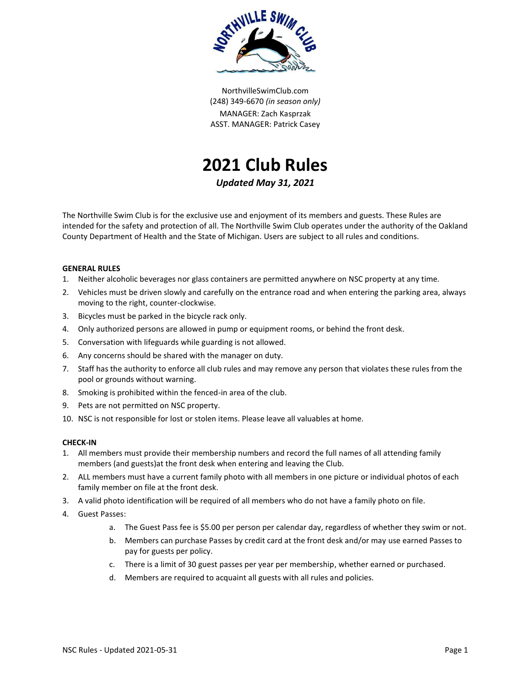

NorthvilleSwimClub.com (248) 349-6670 *(in season only)* MANAGER: Zach Kasprzak ASST. MANAGER: Patrick Casey



*Updated May 31, 2021*

The Northville Swim Club is for the exclusive use and enjoyment of its members and guests. These Rules are intended for the safety and protection of all. The Northville Swim Club operates under the authority of the Oakland County Department of Health and the State of Michigan. Users are subject to all rules and conditions.

# **GENERAL RULES**

- 1. Neither alcoholic beverages nor glass containers are permitted anywhere on NSC property at any time.
- 2. Vehicles must be driven slowly and carefully on the entrance road and when entering the parking area, always moving to the right, counter-clockwise.
- 3. Bicycles must be parked in the bicycle rack only.
- 4. Only authorized persons are allowed in pump or equipment rooms, or behind the front desk.
- 5. Conversation with lifeguards while guarding is not allowed.
- 6. Any concerns should be shared with the manager on duty.
- 7. Staff has the authority to enforce all club rules and may remove any person that violates these rules from the pool or grounds without warning.
- 8. Smoking is prohibited within the fenced-in area of the club.
- 9. Pets are not permitted on NSC property.
- 10. NSC is not responsible for lost or stolen items. Please leave all valuables at home.

### **CHECK-IN**

- 1. All members must provide their membership numbers and record the full names of all attending family members (and guests)at the front desk when entering and leaving the Club.
- 2. ALL members must have a current family photo with all members in one picture or individual photos of each family member on file at the front desk.
- 3. A valid photo identification will be required of all members who do not have a family photo on file.
- 4. Guest Passes:
	- a. The Guest Pass fee is \$5.00 per person per calendar day, regardless of whether they swim or not.
	- b. Members can purchase Passes by credit card at the front desk and/or may use earned Passes to pay for guests per policy.
	- c. There is a limit of 30 guest passes per year per membership, whether earned or purchased.
	- d. Members are required to acquaint all guests with all rules and policies.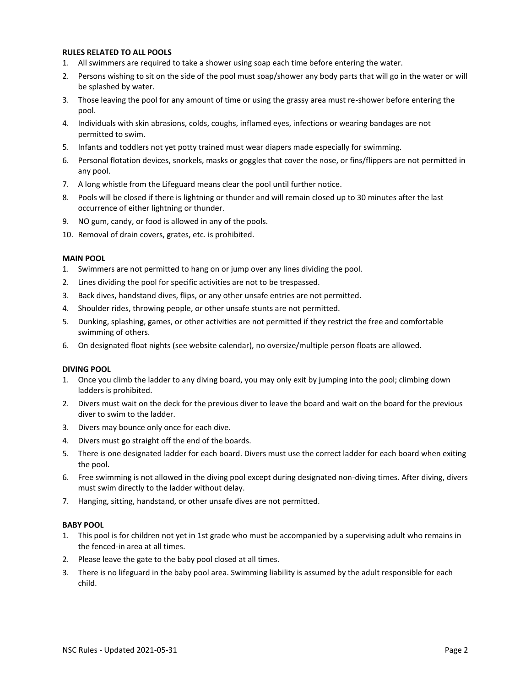### **RULES RELATED TO ALL POOLS**

- 1. All swimmers are required to take a shower using soap each time before entering the water.
- 2. Persons wishing to sit on the side of the pool must soap/shower any body parts that will go in the water or will be splashed by water.
- 3. Those leaving the pool for any amount of time or using the grassy area must re-shower before entering the pool.
- 4. Individuals with skin abrasions, colds, coughs, inflamed eyes, infections or wearing bandages are not permitted to swim.
- 5. Infants and toddlers not yet potty trained must wear diapers made especially for swimming.
- 6. Personal flotation devices, snorkels, masks or goggles that cover the nose, or fins/flippers are not permitted in any pool.
- 7. A long whistle from the Lifeguard means clear the pool until further notice.
- 8. Pools will be closed if there is lightning or thunder and will remain closed up to 30 minutes after the last occurrence of either lightning or thunder.
- 9. NO gum, candy, or food is allowed in any of the pools.
- 10. Removal of drain covers, grates, etc. is prohibited.

#### **MAIN POOL**

- 1. Swimmers are not permitted to hang on or jump over any lines dividing the pool.
- 2. Lines dividing the pool for specific activities are not to be trespassed.
- 3. Back dives, handstand dives, flips, or any other unsafe entries are not permitted.
- 4. Shoulder rides, throwing people, or other unsafe stunts are not permitted.
- 5. Dunking, splashing, games, or other activities are not permitted if they restrict the free and comfortable swimming of others.
- 6. On designated float nights (see website calendar), no oversize/multiple person floats are allowed.

#### **DIVING POOL**

- 1. Once you climb the ladder to any diving board, you may only exit by jumping into the pool; climbing down ladders is prohibited.
- 2. Divers must wait on the deck for the previous diver to leave the board and wait on the board for the previous diver to swim to the ladder.
- 3. Divers may bounce only once for each dive.
- 4. Divers must go straight off the end of the boards.
- 5. There is one designated ladder for each board. Divers must use the correct ladder for each board when exiting the pool.
- 6. Free swimming is not allowed in the diving pool except during designated non-diving times. After diving, divers must swim directly to the ladder without delay.
- 7. Hanging, sitting, handstand, or other unsafe dives are not permitted.

# **BABY POOL**

- 1. This pool is for children not yet in 1st grade who must be accompanied by a supervising adult who remains in the fenced-in area at all times.
- 2. Please leave the gate to the baby pool closed at all times.
- 3. There is no lifeguard in the baby pool area. Swimming liability is assumed by the adult responsible for each child.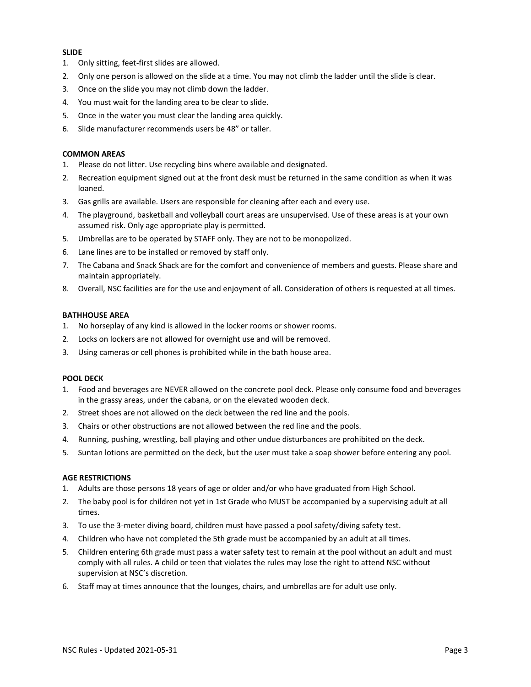# **SLIDE**

- 1. Only sitting, feet-first slides are allowed.
- 2. Only one person is allowed on the slide at a time. You may not climb the ladder until the slide is clear.
- 3. Once on the slide you may not climb down the ladder.
- 4. You must wait for the landing area to be clear to slide.
- 5. Once in the water you must clear the landing area quickly.
- 6. Slide manufacturer recommends users be 48" or taller.

# **COMMON AREAS**

- 1. Please do not litter. Use recycling bins where available and designated.
- 2. Recreation equipment signed out at the front desk must be returned in the same condition as when it was loaned.
- 3. Gas grills are available. Users are responsible for cleaning after each and every use.
- 4. The playground, basketball and volleyball court areas are unsupervised. Use of these areas is at your own assumed risk. Only age appropriate play is permitted.
- 5. Umbrellas are to be operated by STAFF only. They are not to be monopolized.
- 6. Lane lines are to be installed or removed by staff only.
- 7. The Cabana and Snack Shack are for the comfort and convenience of members and guests. Please share and maintain appropriately.
- 8. Overall, NSC facilities are for the use and enjoyment of all. Consideration of others is requested at all times.

# **BATHHOUSE AREA**

- 1. No horseplay of any kind is allowed in the locker rooms or shower rooms.
- 2. Locks on lockers are not allowed for overnight use and will be removed.
- 3. Using cameras or cell phones is prohibited while in the bath house area.

### **POOL DECK**

- 1. Food and beverages are NEVER allowed on the concrete pool deck. Please only consume food and beverages in the grassy areas, under the cabana, or on the elevated wooden deck.
- 2. Street shoes are not allowed on the deck between the red line and the pools.
- 3. Chairs or other obstructions are not allowed between the red line and the pools.
- 4. Running, pushing, wrestling, ball playing and other undue disturbances are prohibited on the deck.
- 5. Suntan lotions are permitted on the deck, but the user must take a soap shower before entering any pool.

### **AGE RESTRICTIONS**

- 1. Adults are those persons 18 years of age or older and/or who have graduated from High School.
- 2. The baby pool is for children not yet in 1st Grade who MUST be accompanied by a supervising adult at all times.
- 3. To use the 3-meter diving board, children must have passed a pool safety/diving safety test.
- 4. Children who have not completed the 5th grade must be accompanied by an adult at all times.
- 5. Children entering 6th grade must pass a water safety test to remain at the pool without an adult and must comply with all rules. A child or teen that violates the rules may lose the right to attend NSC without supervision at NSC's discretion.
- 6. Staff may at times announce that the lounges, chairs, and umbrellas are for adult use only.